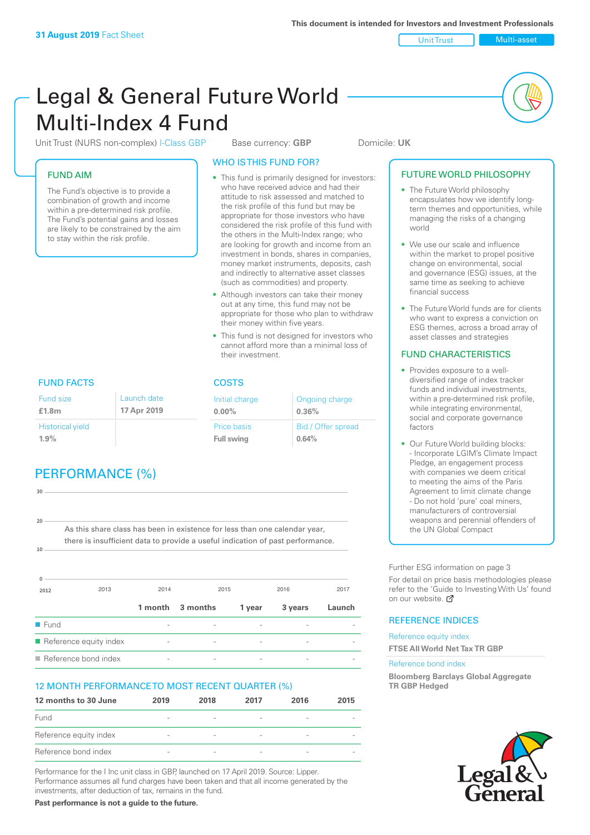Unit Trust Multi-asset

# Legal & General Future World Multi-Index 4 Fund

Unit Trust (NURS non-complex) I-Class GBP Base currency: **GBP** Domicile: UK

### FUND AIM

The Fund's objective is to provide a combination of growth and income within a pre-determined risk profile. The Fund's potential gains and losses are likely to be constrained by the aim to stay within the risk profile.

### WHO IS THIS FUND FOR?

- This fund is primarily designed for investors: who have received advice and had their attitude to risk assessed and matched to the risk profile of this fund but may be appropriate for those investors who have considered the risk profile of this fund with the others in the Multi-Index range; who are looking for growth and income from an investment in bonds, shares in companies, money market instruments, deposits, cash and indirectly to alternative asset classes (such as commodities) and property.
- Although investors can take their money out at any time, this fund may not be appropriate for those who plan to withdraw their money within five years.
- This fund is not designed for investors who cannot afford more than a minimal loss of their investment.

Ongoing charge

Bid / Offer spread

**0.36%**

**0.64%**

Initial charge **0.00%**

Price basis **Full swing**

# FUND FACTS COSTS

| Fund size<br>£1.8m      | Launch date<br>17 Apr 2019 |
|-------------------------|----------------------------|
| <b>Historical yield</b> |                            |
| 1.9%                    |                            |

# PERFORMANCE (%)

| 30                  |                                                                                |         |          |        |         |        |
|---------------------|--------------------------------------------------------------------------------|---------|----------|--------|---------|--------|
|                     |                                                                                |         |          |        |         |        |
|                     |                                                                                |         |          |        |         |        |
| 20                  |                                                                                |         |          |        |         |        |
|                     | As this share class has been in existence for less than one calendar year,     |         |          |        |         |        |
|                     | there is insufficient data to provide a useful indication of past performance. |         |          |        |         |        |
| 10                  |                                                                                |         |          |        |         |        |
|                     |                                                                                |         |          |        |         |        |
|                     |                                                                                |         |          |        |         |        |
|                     |                                                                                |         |          |        |         |        |
|                     |                                                                                |         |          |        |         |        |
| 2012                | 2013                                                                           | 2014    | 2015     |        | 2016    | 2017   |
|                     |                                                                                |         |          |        |         |        |
|                     |                                                                                | 1 month | 3 months | 1 year | 3 years | Launch |
| $\blacksquare$ Fund |                                                                                |         |          |        |         |        |
|                     | Reference equity index                                                         |         |          |        |         |        |
|                     |                                                                                |         |          |        |         |        |

 $\blacksquare$  Reference bond index

### 12 MONTH PERFORMANCE TO MOST RECENT QUARTER (%)

| 12 months to 30 June   | 2019                     | 2018                     | 2017                     | 2016                     | 2015 |
|------------------------|--------------------------|--------------------------|--------------------------|--------------------------|------|
| Fund                   | $\overline{\phantom{a}}$ | $\overline{\phantom{a}}$ | $\overline{\phantom{a}}$ | $\overline{\phantom{a}}$ |      |
| Reference equity index | $\overline{\phantom{a}}$ | $\overline{\phantom{a}}$ | $\overline{\phantom{a}}$ |                          |      |
| Reference bond index   | $\sim$                   | $\overline{\phantom{a}}$ | $\qquad \qquad$          |                          |      |

Performance for the I Inc unit class in GBP, launched on 17 April 2019. Source: Lipper. Performance assumes all fund charges have been taken and that all income generated by the investments, after deduction of tax, remains in the fund.

**Past performance is not a guide to the future.**

#### • The Future World philosophy encapsulates how we identify longterm themes and opportunities, while managing the risks of a changing

world

FUTURE WORLD PHILOSOPHY

- We use our scale and influence within the market to propel positive change on environmental, social and governance (ESG) issues, at the same time as seeking to achieve financial success
- The Future World funds are for clients who want to express a conviction on ESG themes, across a broad array of asset classes and strategies

### FUND CHARACTERISTICS

- Provides exposure to a welldiversified range of index tracker funds and individual investments, within a pre-determined risk profile while integrating environmental, social and corporate governance factors
- Our Future World building blocks: - Incorporate LGIM's Climate Impact Pledge, an engagement process with companies we deem critical to meeting the aims of the Paris Agreement to limit climate change - Do not hold 'pure' coal miners, manufacturers of controversial weapons and perennial offenders of the UN Global Compact

Further ESG information on page 3

For detail on price basis methodologies please refer to the 'Guide to Investing With Us' found on our website. a

### REFERENCE INDICES

Reference equity index **FTSE All World Net Tax TR GBP**

#### Reference bond index

**Bloomberg Barclays Global Aggregate TR GBP Hedged**

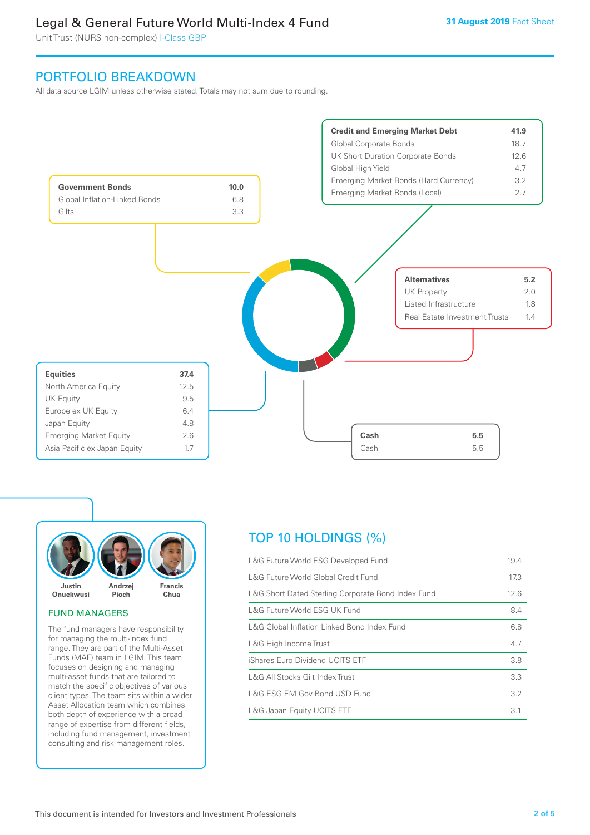# Legal & General Future World Multi-Index 4 Fund

Unit Trust (NURS non-complex) I-Class GBP

# PORTFOLIO BREAKDOWN

All data source LGIM unless otherwise stated. Totals may not sum due to rounding.





#### FUND MANAGERS

The fund managers have responsibility for managing the multi-index fund range. They are part of the Multi-Asset Funds (MAF) team in LGIM. This team focuses on designing and managing multi-asset funds that are tailored to match the specific objectives of various client types. The team sits within a wider Asset Allocation team which combines both depth of experience with a broad range of expertise from different fields, including fund management, investment consulting and risk management roles.

# TOP 10 HOLDINGS (%)

| L&G Future World ESG Developed Fund                | 19.4 |
|----------------------------------------------------|------|
| L&G Future World Global Credit Fund                | 17.3 |
| L&G Short Dated Sterling Corporate Bond Index Fund | 12.6 |
| L&G Future World ESG UK Fund                       | 8.4  |
| L&G Global Inflation Linked Bond Index Fund        | 6.8  |
| L&G High Income Trust                              | 4.7  |
| iShares Euro Dividend UCITS ETF                    | 3.8  |
| L&G All Stocks Gilt Index Trust                    | 3.3  |
| L&G ESG EM Gov Bond USD Fund                       | 3.2  |
| L&G Japan Equity UCITS ETF                         | 3.1  |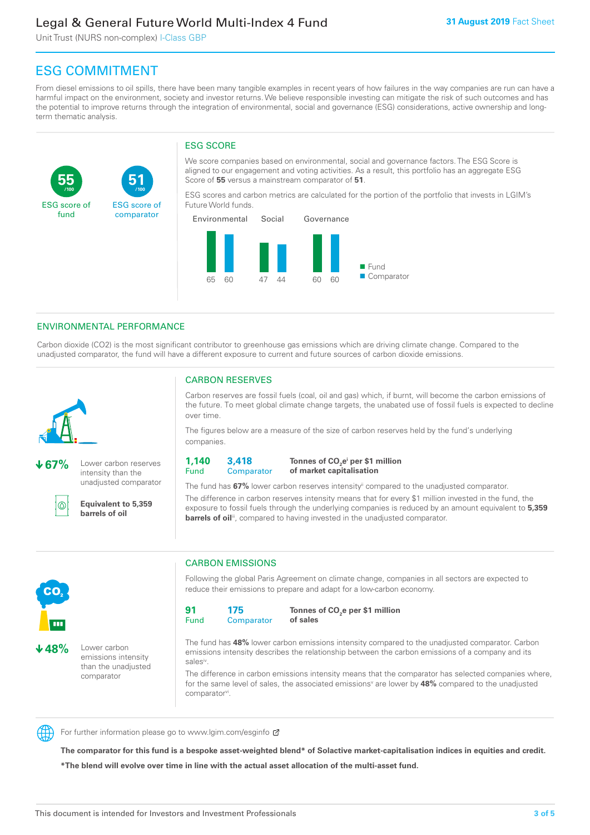# Legal & General Future World Multi-Index 4 Fund

Unit Trust (NURS non-complex) I-Class GBP

**51**

ESG score of comparator

# ESG COMMITMENT

**/100 /100**

From diesel emissions to oil spills, there have been many tangible examples in recent years of how failures in the way companies are run can have a harmful impact on the environment, society and investor returns. We believe responsible investing can mitigate the risk of such outcomes and has the potential to improve returns through the integration of environmental, social and governance (ESG) considerations, active ownership and longterm thematic analysis.

### ESG SCORE

We score companies based on environmental, social and governance factors. The ESG Score is aligned to our engagement and voting activities. As a result, this portfolio has an aggregate ESG Score of **55** versus a mainstream comparator of **51**.

ESG scores and carbon metrics are calculated for the portion of the portfolio that invests in LGIM's Future World funds.



### ENVIRONMENTAL PERFORMANCE

Carbon dioxide (CO2) is the most significant contributor to greenhouse gas emissions which are driving climate change. Compared to the unadjusted comparator, the fund will have a different exposure to current and future sources of carbon dioxide emissions.



**55**

ESG score of fund

**67%** Lower carbon reserves intensity than the unadjusted comparator

൹

CO<sub>2</sub>

**48%** Lower carbon

emissions intensity than the unadjusted comparator

**Equivalent to 5,359 barrels of oil**

### CARBON RESERVES

Carbon reserves are fossil fuels (coal, oil and gas) which, if burnt, will become the carbon emissions of the future. To meet global climate change targets, the unabated use of fossil fuels is expected to decline over time.

The figures below are a measure of the size of carbon reserves held by the fund's underlying companies.

**1,140** Fund **3,418 Comparator** 

**Tonnes of CO2 ei per \$1 million of market capitalisation**

The fund has **67%** lower carbon reserves intensityii compared to the unadjusted comparator. The difference in carbon reserves intensity means that for every \$1 million invested in the fund, the exposure to fossil fuels through the underlying companies is reduced by an amount equivalent to **5,359 barrels of oil**<sup>iii</sup>, compared to having invested in the unadjusted comparator.



Following the global Paris Agreement on climate change, companies in all sectors are expected to reduce their emissions to prepare and adapt for a low-carbon economy.



**Tonnes of CO2 e per \$1 million of sales**

The fund has **48%** lower carbon emissions intensity compared to the unadjusted comparator. Carbon emissions intensity describes the relationship between the carbon emissions of a company and its salesiv

The difference in carbon emissions intensity means that the comparator has selected companies where, for the same level of sales, the associated emissions<sup>v</sup> are lower by 48% compared to the unadjusted comparator<sup>vi</sup>.



For further information please go to www.lgim.com/esginfo Ø

**The comparator for this fund is a bespoke asset-weighted blend\* of Solactive market-capitalisation indices in equities and credit. \*The blend will evolve over time in line with the actual asset allocation of the multi-asset fund.**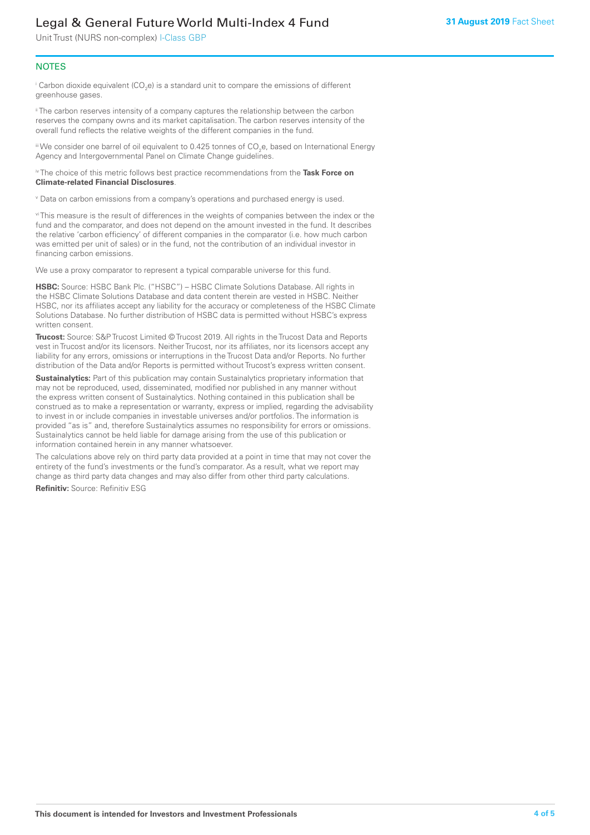# Legal & General Future World Multi-Index 4 Fund

Unit Trust (NURS non-complex) I-Class GBP

### **NOTES**

 $^\mathrm{i}$  Carbon dioxide equivalent (CO<sub>2</sub>e) is a standard unit to compare the emissions of different greenhouse gases.

<sup>ii</sup> The carbon reserves intensity of a company captures the relationship between the carbon reserves the company owns and its market capitalisation. The carbon reserves intensity of the overall fund reflects the relative weights of the different companies in the fund.

iii We consider one barrel of oil equivalent to 0.425 tonnes of CO<sub>2</sub>e, based on International Energy Agency and Intergovernmental Panel on Climate Change guidelines.

#### iv The choice of this metric follows best practice recommendations from the **Task Force on Climate-related Financial Disclosures**.

v Data on carbon emissions from a company's operations and purchased energy is used.

vi This measure is the result of differences in the weights of companies between the index or the fund and the comparator, and does not depend on the amount invested in the fund. It describes the relative 'carbon efficiency' of different companies in the comparator (i.e. how much carbon was emitted per unit of sales) or in the fund, not the contribution of an individual investor in financing carbon emissions.

We use a proxy comparator to represent a typical comparable universe for this fund.

**HSBC:** Source: HSBC Bank Plc. ("HSBC") – HSBC Climate Solutions Database. All rights in the HSBC Climate Solutions Database and data content therein are vested in HSBC. Neither HSBC, nor its affiliates accept any liability for the accuracy or completeness of the HSBC Climate Solutions Database. No further distribution of HSBC data is permitted without HSBC's express written consent.

**Trucost:** Source: S&P Trucost Limited © Trucost 2019. All rights in the Trucost Data and Reports vest in Trucost and/or its licensors. Neither Trucost, nor its affiliates, nor its licensors accept any liability for any errors, omissions or interruptions in the Trucost Data and/or Reports. No further distribution of the Data and/or Reports is permitted without Trucost's express written consent.

**Sustainalytics:** Part of this publication may contain Sustainalytics proprietary information that may not be reproduced, used, disseminated, modified nor published in any manner without the express written consent of Sustainalytics. Nothing contained in this publication shall be construed as to make a representation or warranty, express or implied, regarding the advisability to invest in or include companies in investable universes and/or portfolios. The information is provided "as is" and, therefore Sustainalytics assumes no responsibility for errors or omissions. Sustainalytics cannot be held liable for damage arising from the use of this publication or information contained herein in any manner whatsoever.

The calculations above rely on third party data provided at a point in time that may not cover the entirety of the fund's investments or the fund's comparator. As a result, what we report may change as third party data changes and may also differ from other third party calculations.

**Refinitiv:** Source: Refinitiv ESG